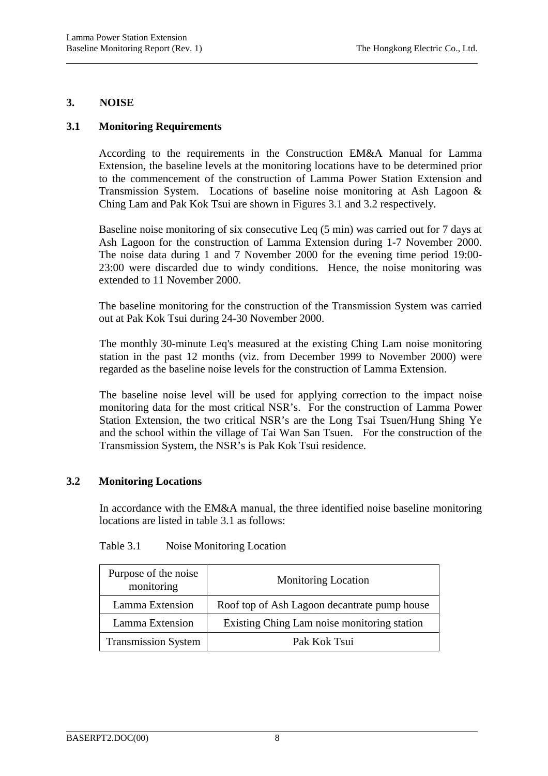### **3. NOISE**

l

# **3.1 Monitoring Requirements**

According to the requirements in the Construction EM&A Manual for Lamma Extension, the baseline levels at the monitoring locations have to be determined prior to the commencement of the construction of Lamma Power Station Extension and Transmission System. Locations of baseline noise monitoring at Ash Lagoon & Ching Lam and Pak Kok Tsui are shown in Figures 3.1 and 3.2 respectively.

Baseline noise monitoring of six consecutive Leq (5 min) was carried out for 7 days at Ash Lagoon for the construction of Lamma Extension during 1-7 November 2000. The noise data during 1 and 7 November 2000 for the evening time period 19:00- 23:00 were discarded due to windy conditions. Hence, the noise monitoring was extended to 11 November 2000.

The baseline monitoring for the construction of the Transmission System was carried out at Pak Kok Tsui during 24-30 November 2000.

The monthly 30-minute Leq's measured at the existing Ching Lam noise monitoring station in the past 12 months (viz. from December 1999 to November 2000) were regarded as the baseline noise levels for the construction of Lamma Extension.

The baseline noise level will be used for applying correction to the impact noise monitoring data for the most critical NSR's. For the construction of Lamma Power Station Extension, the two critical NSR's are the Long Tsai Tsuen/Hung Shing Ye and the school within the village of Tai Wan San Tsuen. For the construction of the Transmission System, the NSR's is Pak Kok Tsui residence.

# **3.2 Monitoring Locations**

In accordance with the EM&A manual, the three identified noise baseline monitoring locations are listed in table 3.1 as follows:

| Purpose of the noise<br>monitoring | <b>Monitoring Location</b>                   |  |
|------------------------------------|----------------------------------------------|--|
| Lamma Extension                    | Roof top of Ash Lagoon decantrate pump house |  |
| Lamma Extension                    | Existing Ching Lam noise monitoring station  |  |
| <b>Transmission System</b>         | Pak Kok Tsui                                 |  |

Table 3.1 Noise Monitoring Location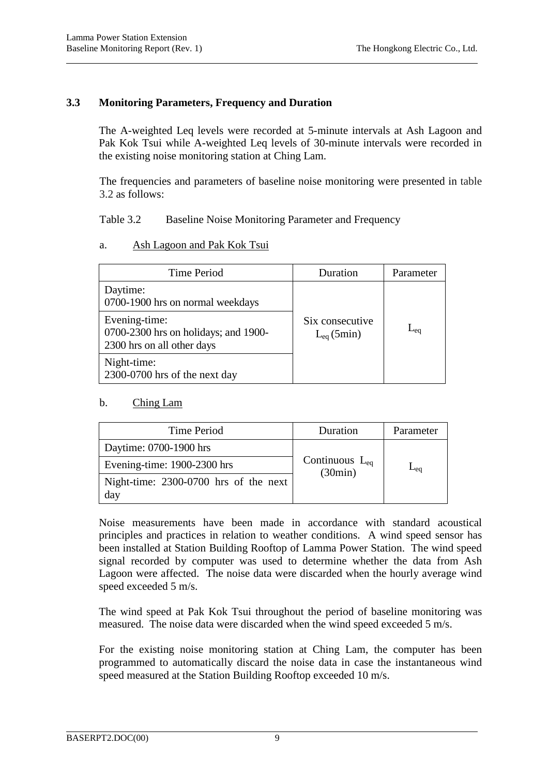#### **3.3 Monitoring Parameters, Frequency and Duration**

The A-weighted Leq levels were recorded at 5-minute intervals at Ash Lagoon and Pak Kok Tsui while A-weighted Leq levels of 30-minute intervals were recorded in the existing noise monitoring station at Ching Lam.

The frequencies and parameters of baseline noise monitoring were presented in table 3.2 as follows:

Table 3.2 Baseline Noise Monitoring Parameter and Frequency

a. Ash Lagoon and Pak Kok Tsui

| Time Period                                                                         | Duration                          | Parameter |
|-------------------------------------------------------------------------------------|-----------------------------------|-----------|
| Daytime:<br>0700-1900 hrs on normal weekdays                                        |                                   |           |
| Evening-time:<br>0700-2300 hrs on holidays; and 1900-<br>2300 hrs on all other days | Six consecutive<br>$L_{eq}(5min)$ | $L_{eq}$  |
| Night-time:<br>2300-0700 hrs of the next day                                        |                                   |           |

# b. Ching Lam

| Time Period                                  | Duration                       | Parameter |  |
|----------------------------------------------|--------------------------------|-----------|--|
| Daytime: 0700-1900 hrs                       |                                |           |  |
| Evening-time: 1900-2300 hrs                  | Continuous $L_{eq}$<br>(30min) | $-ec$     |  |
| Night-time: 2300-0700 hrs of the next<br>day |                                |           |  |

Noise measurements have been made in accordance with standard acoustical principles and practices in relation to weather conditions. A wind speed sensor has been installed at Station Building Rooftop of Lamma Power Station. The wind speed signal recorded by computer was used to determine whether the data from Ash Lagoon were affected. The noise data were discarded when the hourly average wind speed exceeded 5 m/s.

The wind speed at Pak Kok Tsui throughout the period of baseline monitoring was measured. The noise data were discarded when the wind speed exceeded 5 m/s.

For the existing noise monitoring station at Ching Lam, the computer has been programmed to automatically discard the noise data in case the instantaneous wind speed measured at the Station Building Rooftop exceeded 10 m/s.

l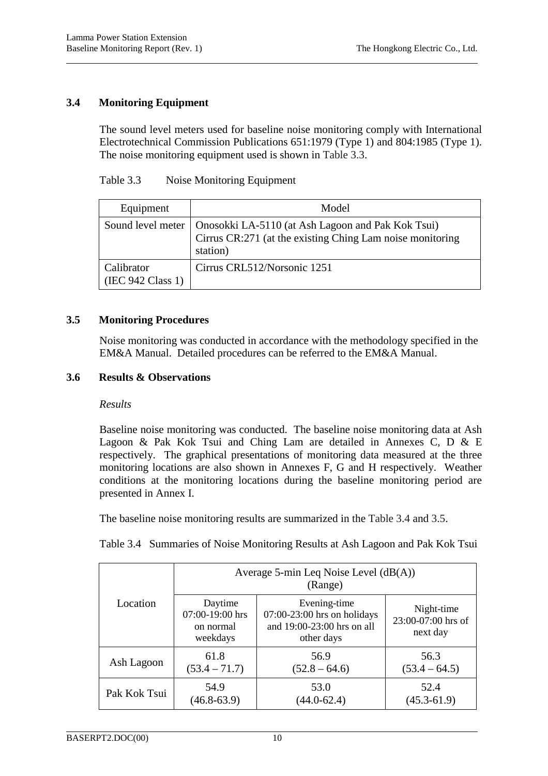# **3.4 Monitoring Equipment**

The sound level meters used for baseline noise monitoring comply with International Electrotechnical Commission Publications 651:1979 (Type 1) and 804:1985 (Type 1). The noise monitoring equipment used is shown in Table 3.3.

| Equipment                       | Model                                                                                                                                          |
|---------------------------------|------------------------------------------------------------------------------------------------------------------------------------------------|
|                                 | Sound level meter   Onosokki LA-5110 (at Ash Lagoon and Pak Kok Tsui)<br>Cirrus CR:271 (at the existing Ching Lam noise monitoring<br>station) |
| Calibrator<br>(IEC 942 Class 1) | Cirrus CRL512/Norsonic 1251                                                                                                                    |

#### **3.5 Monitoring Procedures**

Noise monitoring was conducted in accordance with the methodology specified in the EM&A Manual. Detailed procedures can be referred to the EM&A Manual.

#### **3.6 Results & Observations**

#### *Results*

Baseline noise monitoring was conducted. The baseline noise monitoring data at Ash Lagoon & Pak Kok Tsui and Ching Lam are detailed in Annexes C, D & E respectively. The graphical presentations of monitoring data measured at the three monitoring locations are also shown in Annexes F, G and H respectively. Weather conditions at the monitoring locations during the baseline monitoring period are presented in Annex I.

The baseline noise monitoring results are summarized in the Table 3.4 and 3.5.

Table 3.4 Summaries of Noise Monitoring Results at Ash Lagoon and Pak Kok Tsui

|              | Average 5-min Leq Noise Level $(dB(A))$<br>(Range)  |                                                                                           |                                              |  |
|--------------|-----------------------------------------------------|-------------------------------------------------------------------------------------------|----------------------------------------------|--|
| Location     | Daytime<br>07:00-19:00 hrs<br>on normal<br>weekdays | Evening-time<br>$07:00-23:00$ hrs on holidays<br>and 19:00-23:00 hrs on all<br>other days | Night-time<br>23:00-07:00 hrs of<br>next day |  |
| Ash Lagoon   | 61.8                                                | 56.9                                                                                      | 56.3                                         |  |
|              | $(53.4 - 71.7)$                                     | $(52.8 - 64.6)$                                                                           | $(53.4 - 64.5)$                              |  |
| Pak Kok Tsui | 54.9                                                | 53.0                                                                                      | 52.4                                         |  |
|              | $(46.8 - 63.9)$                                     | $(44.0 - 62.4)$                                                                           | $(45.3 - 61.9)$                              |  |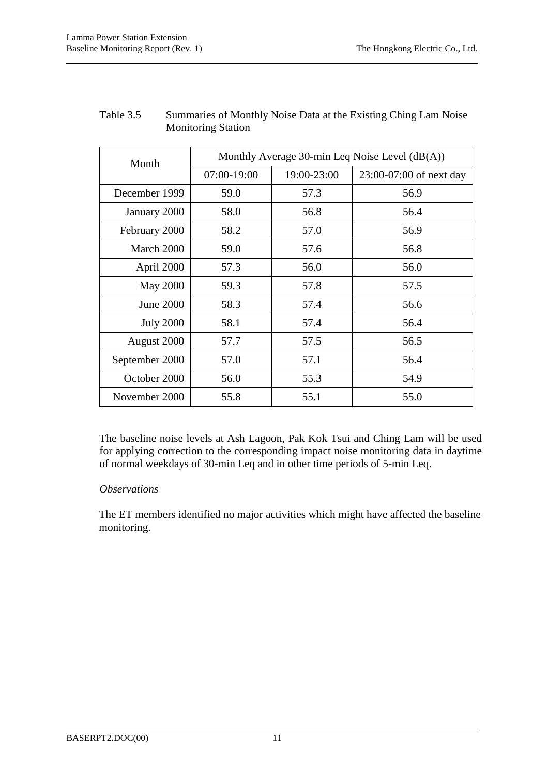|                  | Monthly Average 30-min Leq Noise Level $(dB(A))$ |             |                         |  |
|------------------|--------------------------------------------------|-------------|-------------------------|--|
| Month            | 07:00-19:00                                      | 19:00-23:00 | 23:00-07:00 of next day |  |
| December 1999    | 59.0                                             | 57.3        | 56.9                    |  |
| January 2000     | 58.0                                             | 56.8        | 56.4                    |  |
| February 2000    | 58.2                                             | 57.0        | 56.9                    |  |
| March 2000       | 59.0                                             | 57.6        | 56.8                    |  |
| April 2000       | 57.3                                             | 56.0        | 56.0                    |  |
| <b>May 2000</b>  | 59.3                                             | 57.8        | 57.5                    |  |
| June 2000        | 58.3                                             | 57.4        | 56.6                    |  |
| <b>July 2000</b> | 58.1                                             | 57.4        | 56.4                    |  |
| August 2000      | 57.7                                             | 57.5        | 56.5                    |  |
| September 2000   | 57.0                                             | 57.1        | 56.4                    |  |
| October 2000     | 56.0                                             | 55.3        | 54.9                    |  |
| November 2000    | 55.8                                             | 55.1        | 55.0                    |  |

# Table 3.5 Summaries of Monthly Noise Data at the Existing Ching Lam Noise Monitoring Station

The baseline noise levels at Ash Lagoon, Pak Kok Tsui and Ching Lam will be used for applying correction to the corresponding impact noise monitoring data in daytime of normal weekdays of 30-min Leq and in other time periods of 5-min Leq.

# *Observations*

The ET members identified no major activities which might have affected the baseline monitoring.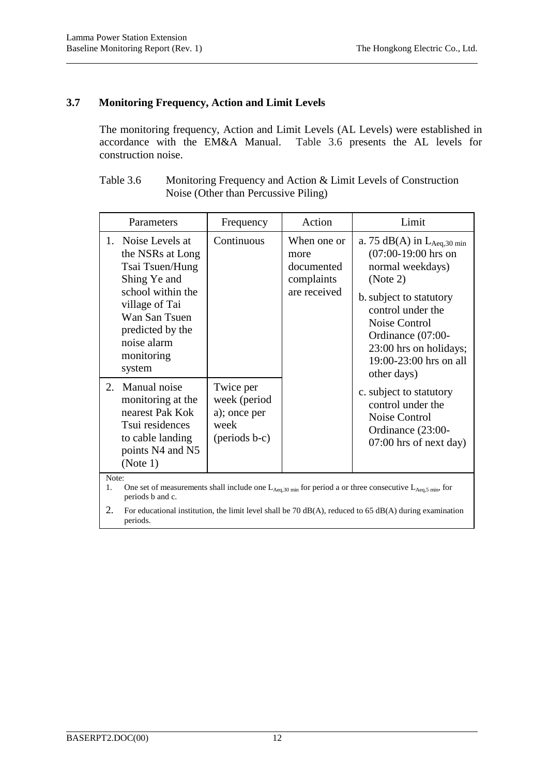## **3.7 Monitoring Frequency, Action and Limit Levels**

The monitoring frequency, Action and Limit Levels (AL Levels) were established in accordance with the EM&A Manual. Table 3.6 presents the AL levels for Table 3.6 presents the AL levels for construction noise.

| Table 3.6 | Monitoring Frequency and Action & Limit Levels of Construction |
|-----------|----------------------------------------------------------------|
|           | Noise (Other than Percussive Piling)                           |

| Parameters                                                                                                                                                                                   | Frequency                                                                    | Action                                                          | Limit                                                                                                                                                                                                                                                     |
|----------------------------------------------------------------------------------------------------------------------------------------------------------------------------------------------|------------------------------------------------------------------------------|-----------------------------------------------------------------|-----------------------------------------------------------------------------------------------------------------------------------------------------------------------------------------------------------------------------------------------------------|
| 1. Noise Levels at<br>the NSRs at Long<br>Tsai Tsuen/Hung<br>Shing Ye and<br>school within the<br>village of Tai<br>Wan San Tsuen<br>predicted by the<br>noise alarm<br>monitoring<br>system | Continuous                                                                   | When one or<br>more<br>documented<br>complaints<br>are received | a. 75 dB(A) in $L_{Aeq,30 \text{ min}}$<br>$(07:00-19:00$ hrs on<br>normal weekdays)<br>(Note 2)<br>b. subject to statutory<br>control under the<br>Noise Control<br>Ordinance (07:00-<br>23:00 hrs on holidays;<br>19:00-23:00 hrs on all<br>other days) |
| 2. Manual noise<br>monitoring at the<br>nearest Pak Kok<br>Tsui residences<br>to cable landing<br>points N4 and N5<br>(Note 1)<br>Note:                                                      | Twice per<br>week (period<br>a); once per<br>week<br>$(\text{periods } b-c)$ |                                                                 | c. subject to statutory<br>control under the<br>Noise Control<br>Ordinance (23:00-<br>07:00 hrs of next day)                                                                                                                                              |

1. One set of measurements shall include one  $L_{Aeq,30 \text{ min}}$  for period a or three consecutive  $L_{Aeq,5 \text{ min}}$ , for periods b and c.

2. For educational institution, the limit level shall be 70 dB(A), reduced to 65 dB(A) during examination periods.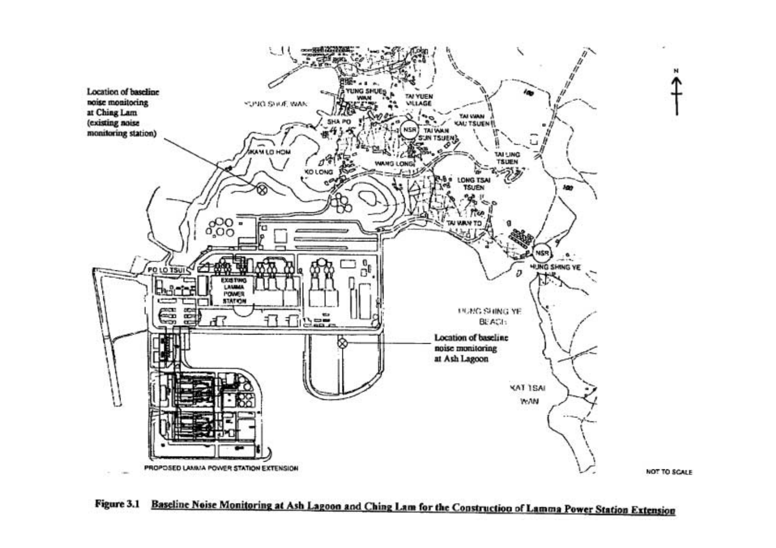